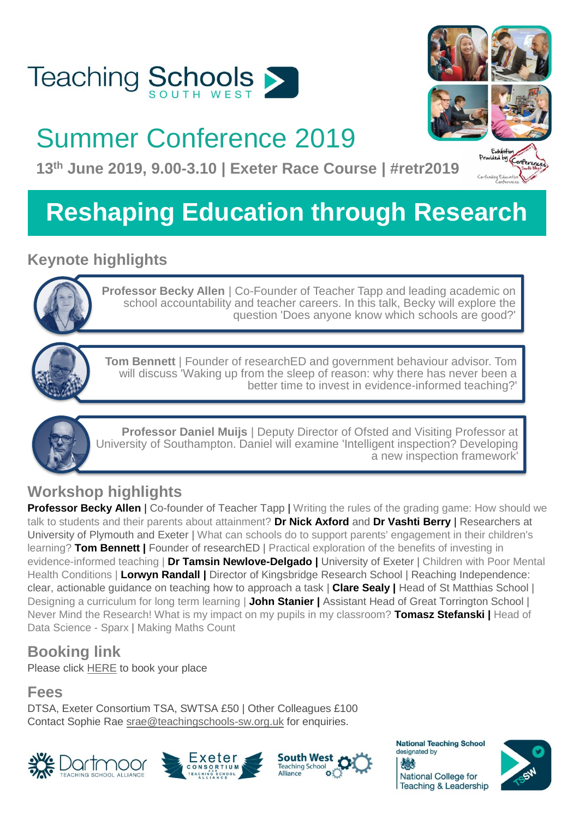

## Summer Conference 2019

**13th June 2019, 9.00-3.10 | Exeter Race Course | #retr2019**

## **Reshaping Education through Research**

## **Keynote highlights**



**Professor Becky Allen | Co-Founder of Teacher Tapp and leading academic on** school accountability and teacher careers. In this talk, Becky will explore the question 'Does anyone know which schools are good?'



**Tom Bennett** | Founder of researchED and government behaviour advisor. Tom will discuss 'Waking up from the sleep of reason: why there has never been a better time to invest in evidence-informed teaching?'



**Professor Daniel Muijs** | Deputy Director of Ofsted and Visiting Professor at University of Southampton. Daniel will examine 'Intelligent inspection? Developing a new inspection framework'

## **Workshop highlights**

**Professor Becky Allen** | Co-founder of Teacher Tapp | Writing the rules of the grading game: How should we talk to students and their parents about attainment? **Dr Nick Axford** and **Dr Vashti Berry** | Researchers at University of Plymouth and Exeter | What can schools do to support parents' engagement in their children's learning? **Tom Bennett |** Founder of researchED | Practical exploration of the benefits of investing in evidence-informed teaching | **Dr Tamsin Newlove-Delgado |** University of Exeter | Children with Poor Mental Health Conditions | **Lorwyn Randall |** Director of Kingsbridge Research School | Reaching Independence: clear, actionable guidance on teaching how to approach a task | **Clare Sealy |** Head of St Matthias School | Designing a curriculum for long term learning | **John Stanier |** Assistant Head of Great Torrington School | Never Mind the Research! What is my impact on my pupils in my classroom? **Tomasz Stefanski |** Head of Data Science - Sparx | Making Maths Count

## **Booking link**

Please click [HERE](https://docs.google.com/forms/d/e/1FAIpQLSfh49IDKHdBYbVs_CmNT7WYXwCc9CzZPx-y5LfaKx_3KbetzA/viewform?usp=sf_link) to book your place

### **Fees**

DTSA, Exeter Consortium TSA, SWTSA £50 | Other Colleagues £100 Contact Sophie Rae [srae@teachingschools-sw.org.uk](mailto:srae@teachingschools-sw.org.uk) for enquiries.













 $by$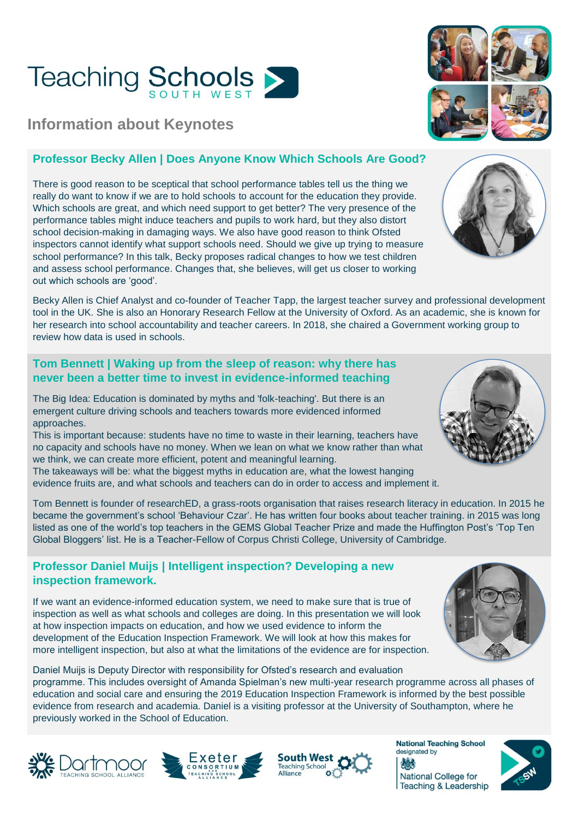# **Teaching Schools >**

### **Information about Keynotes**

#### **Professor Becky Allen | Does Anyone Know Which Schools Are Good?**

There is good reason to be sceptical that school performance tables tell us the thing we really do want to know if we are to hold schools to account for the education they provide. Which schools are great, and which need support to get better? The very presence of the performance tables might induce teachers and pupils to work hard, but they also distort school decision-making in damaging ways. We also have good reason to think Ofsted inspectors cannot identify what support schools need. Should we give up trying to measure school performance? In this talk, Becky proposes radical changes to how we test children and assess school performance. Changes that, she believes, will get us closer to working out which schools are 'good'.

Becky Allen is Chief Analyst and co-founder of Teacher Tapp, the largest teacher survey and professional development tool in the UK. She is also an Honorary Research Fellow at the University of Oxford. As an academic, she is known for her research into school accountability and teacher careers. In 2018, she chaired a Government working group to review how data is used in schools.

#### **Tom Bennett | Waking up from the sleep of reason: why there has never been a better time to invest in evidence-informed teaching**

The Big Idea: Education is dominated by myths and 'folk-teaching'. But there is an emergent culture driving schools and teachers towards more evidenced informed approaches.

This is important because: students have no time to waste in their learning, teachers have no capacity and schools have no money. When we lean on what we know rather than what we think, we can create more efficient, potent and meaningful learning.

The takeaways will be: what the biggest myths in education are, what the lowest hanging evidence fruits are, and what schools and teachers can do in order to access and implement it.

Tom Bennett is founder of researchED, a grass-roots organisation that raises research literacy in education. In 2015 he became the government's school 'Behaviour Czar'. He has written four books about teacher training. in 2015 was long listed as one of the world's top teachers in the GEMS Global Teacher Prize and made the Huffington Post's 'Top Ten Global Bloggers' list. He is a Teacher-Fellow of Corpus Christi College, University of Cambridge.

#### **Professor Daniel Muijs | Intelligent inspection? Developing a new inspection framework.**

If we want an evidence-informed education system, we need to make sure that is true of inspection as well as what schools and colleges are doing. In this presentation we will look at how inspection impacts on education, and how we used evidence to inform the development of the Education Inspection Framework. We will look at how this makes for more intelligent inspection, but also at what the limitations of the evidence are for inspection.

Daniel Muijs is Deputy Director with responsibility for Ofsted's research and evaluation programme. This includes oversight of Amanda Spielman's new multi-year research programme across all phases of education and social care and ensuring the 2019 Education Inspection Framework is informed by the best possible evidence from research and academia. Daniel is a visiting professor at the University of Southampton, where he previously worked in the School of Education.

















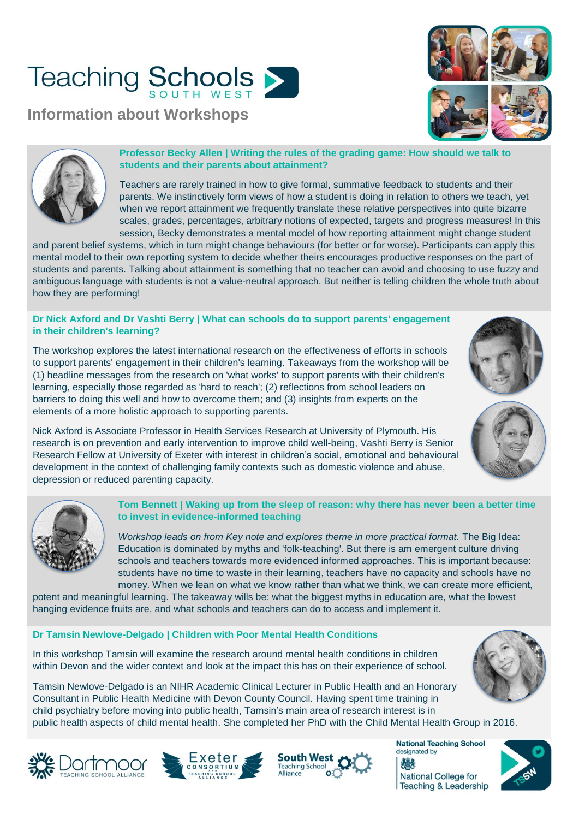# **Teaching Schools**

**Information about Workshops**





#### **Professor Becky Allen | Writing the rules of the grading game: How should we talk to students and their parents about attainment?**

Teachers are rarely trained in how to give formal, summative feedback to students and their parents. We instinctively form views of how a student is doing in relation to others we teach, yet when we report attainment we frequently translate these relative perspectives into quite bizarre scales, grades, percentages, arbitrary notions of expected, targets and progress measures! In this session, Becky demonstrates a mental model of how reporting attainment might change student

and parent belief systems, which in turn might change behaviours (for better or for worse). Participants can apply this mental model to their own reporting system to decide whether theirs encourages productive responses on the part of students and parents. Talking about attainment is something that no teacher can avoid and choosing to use fuzzy and ambiguous language with students is not a value-neutral approach. But neither is telling children the whole truth about how they are performing!

#### **Dr Nick Axford and Dr Vashti Berry | What can schools do to support parents' engagement in their children's learning?**

The workshop explores the latest international research on the effectiveness of efforts in schools to support parents' engagement in their children's learning. Takeaways from the workshop will be (1) headline messages from the research on 'what works' to support parents with their children's learning, especially those regarded as 'hard to reach'; (2) reflections from school leaders on barriers to doing this well and how to overcome them; and (3) insights from experts on the elements of a more holistic approach to supporting parents.

Nick Axford is Associate Professor in Health Services Research at University of Plymouth. His research is on prevention and early intervention to improve child well-being, Vashti Berry is Senior Research Fellow at University of Exeter with interest in children's social, emotional and behavioural development in the context of challenging family contexts such as domestic violence and abuse, depression or reduced parenting capacity.



#### **Tom Bennett | Waking up from the sleep of reason: why there has never been a better time to invest in evidence-informed teaching**

*Workshop leads on from Key note and explores theme in more practical format.* The Big Idea: Education is dominated by myths and 'folk-teaching'. But there is am emergent culture driving schools and teachers towards more evidenced informed approaches. This is important because: students have no time to waste in their learning, teachers have no capacity and schools have no money. When we lean on what we know rather than what we think, we can create more efficient,

potent and meaningful learning. The takeaway wills be: what the biggest myths in education are, what the lowest hanging evidence fruits are, and what schools and teachers can do to access and implement it.

#### **Dr Tamsin Newlove-Delgado | Children with Poor Mental Health Conditions**

In this workshop Tamsin will examine the research around mental health conditions in children within Devon and the wider context and look at the impact this has on their experience of school.



Tamsin Newlove-Delgado is an NIHR Academic Clinical Lecturer in Public Health and an Honorary Consultant in Public Health Medicine with Devon County Council. Having spent time training in child psychiatry before moving into public health, Tamsin's main area of research interest is in public health aspects of child mental health. She completed her PhD with the Child Mental Health Group in 2016.